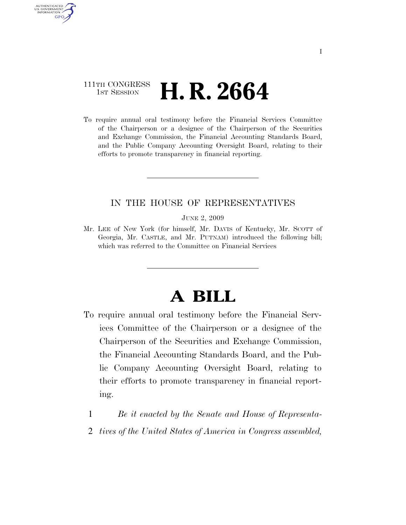### 111TH CONGRESS **1st Session H. R. 2664**

AUTHENTICATED U.S. GOVERNMENT GPO

> To require annual oral testimony before the Financial Services Committee of the Chairperson or a designee of the Chairperson of the Securities and Exchange Commission, the Financial Accounting Standards Board, and the Public Company Accounting Oversight Board, relating to their efforts to promote transparency in financial reporting.

#### IN THE HOUSE OF REPRESENTATIVES

JUNE 2, 2009

Mr. LEE of New York (for himself, Mr. DAVIS of Kentucky, Mr. SCOTT of Georgia, Mr. CASTLE, and Mr. PUTNAM) introduced the following bill; which was referred to the Committee on Financial Services

# **A BILL**

- To require annual oral testimony before the Financial Services Committee of the Chairperson or a designee of the Chairperson of the Securities and Exchange Commission, the Financial Accounting Standards Board, and the Public Company Accounting Oversight Board, relating to their efforts to promote transparency in financial reporting.
	- 1 *Be it enacted by the Senate and House of Representa-*
	- 2 *tives of the United States of America in Congress assembled,*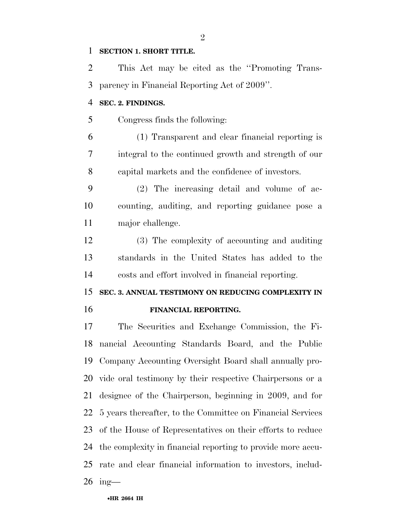#### **SECTION 1. SHORT TITLE.**

 This Act may be cited as the ''Promoting Trans-parency in Financial Reporting Act of 2009''.

#### **SEC. 2. FINDINGS.**

Congress finds the following:

 (1) Transparent and clear financial reporting is integral to the continued growth and strength of our capital markets and the confidence of investors.

 (2) The increasing detail and volume of ac- counting, auditing, and reporting guidance pose a major challenge.

 (3) The complexity of accounting and auditing standards in the United States has added to the costs and effort involved in financial reporting.

## **SEC. 3. ANNUAL TESTIMONY ON REDUCING COMPLEXITY IN FINANCIAL REPORTING.**

 The Securities and Exchange Commission, the Fi- nancial Accounting Standards Board, and the Public Company Accounting Oversight Board shall annually pro- vide oral testimony by their respective Chairpersons or a designee of the Chairperson, beginning in 2009, and for 5 years thereafter, to the Committee on Financial Services of the House of Representatives on their efforts to reduce the complexity in financial reporting to provide more accu- rate and clear financial information to investors, includ-ing—